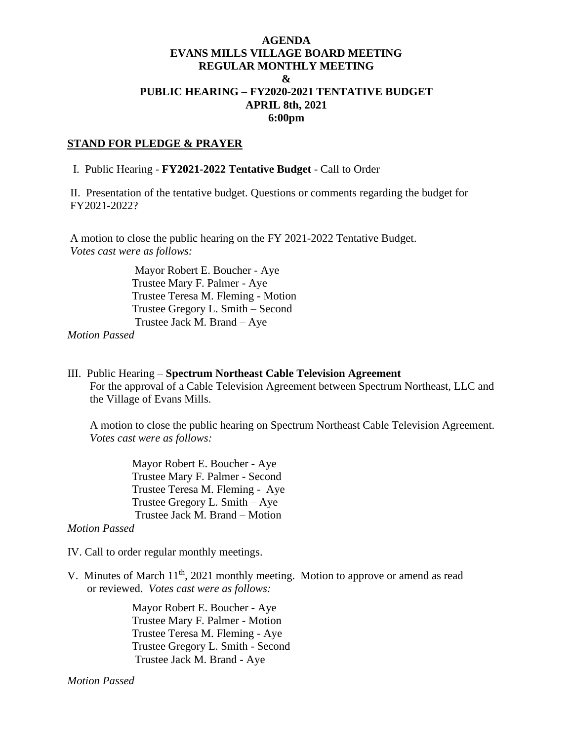## **AGENDA EVANS MILLS VILLAGE BOARD MEETING REGULAR MONTHLY MEETING & PUBLIC HEARING – FY2020-2021 TENTATIVE BUDGET APRIL 8th, 2021 6:00pm**

### **STAND FOR PLEDGE & PRAYER**

I. Public Hearing - **FY2021-2022 Tentative Budget** - Call to Order

II. Presentation of the tentative budget. Questions or comments regarding the budget for FY2021-2022?

A motion to close the public hearing on the FY 2021-2022 Tentative Budget. *Votes cast were as follows:*

> Mayor Robert E. Boucher - Aye Trustee Mary F. Palmer - Aye Trustee Teresa M. Fleming - Motion Trustee Gregory L. Smith – Second Trustee Jack M. Brand – Aye

*Motion Passed*

III. Public Hearing – **Spectrum Northeast Cable Television Agreement** For the approval of a Cable Television Agreement between Spectrum Northeast, LLC and the Village of Evans Mills.

A motion to close the public hearing on Spectrum Northeast Cable Television Agreement. *Votes cast were as follows:*

> Mayor Robert E. Boucher - Aye Trustee Mary F. Palmer - Second Trustee Teresa M. Fleming - Aye Trustee Gregory L. Smith – Aye Trustee Jack M. Brand – Motion

*Motion Passed*

IV. Call to order regular monthly meetings.

V. Minutes of March 11<sup>th</sup>, 2021 monthly meeting. Motion to approve or amend as read or reviewed. *Votes cast were as follows:*

> Mayor Robert E. Boucher - Aye Trustee Mary F. Palmer - Motion Trustee Teresa M. Fleming - Aye Trustee Gregory L. Smith - Second Trustee Jack M. Brand - Aye

*Motion Passed*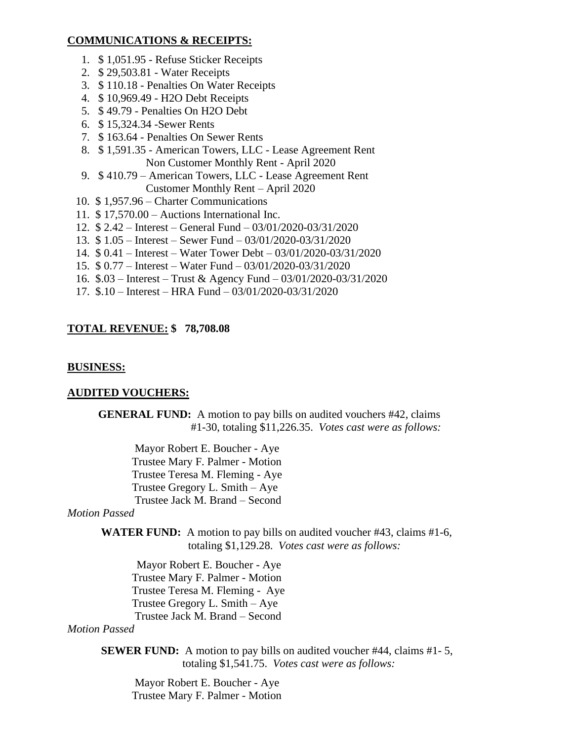### **COMMUNICATIONS & RECEIPTS:**

- 1. \$ 1,051.95 Refuse Sticker Receipts
- 2. \$ 29,503.81 Water Receipts
- 3. \$ 110.18 Penalties On Water Receipts
- 4. \$ 10,969.49 H2O Debt Receipts
- 5. \$ 49.79 Penalties On H2O Debt
- 6. \$ 15,324.34 -Sewer Rents
- 7. \$ 163.64 Penalties On Sewer Rents
- 8. \$ 1,591.35 American Towers, LLC Lease Agreement Rent Non Customer Monthly Rent - April 2020
- 9. \$ 410.79 American Towers, LLC Lease Agreement Rent Customer Monthly Rent – April 2020
- 10. \$ 1,957.96 Charter Communications
- 11. \$ 17,570.00 Auctions International Inc.
- 12. \$ 2.42 Interest General Fund 03/01/2020-03/31/2020
- 13. \$ 1.05 Interest Sewer Fund 03/01/2020-03/31/2020
- 14. \$ 0.41 Interest Water Tower Debt 03/01/2020-03/31/2020
- 15. \$ 0.77 Interest Water Fund 03/01/2020-03/31/2020
- 16. \$.03 Interest Trust & Agency Fund 03/01/2020-03/31/2020
- 17. \$.10 Interest HRA Fund 03/01/2020-03/31/2020

## **TOTAL REVENUE: \$ 78,708.08**

### **BUSINESS:**

## **AUDITED VOUCHERS:**

**GENERAL FUND:** A motion to pay bills on audited vouchers #42, claims #1-30, totaling \$11,226.35. *Votes cast were as follows:*

Mayor Robert E. Boucher - Aye Trustee Mary F. Palmer - Motion Trustee Teresa M. Fleming - Aye Trustee Gregory L. Smith – Aye Trustee Jack M. Brand – Second

### *Motion Passed*

**WATER FUND:** A motion to pay bills on audited voucher #43, claims #1-6, totaling \$1,129.28. *Votes cast were as follows:*

 Mayor Robert E. Boucher - Aye Trustee Mary F. Palmer - Motion Trustee Teresa M. Fleming - Aye Trustee Gregory L. Smith – Aye Trustee Jack M. Brand – Second

#### *Motion Passed*

**SEWER FUND:** A motion to pay bills on audited voucher #44, claims #1-5, totaling \$1,541.75. *Votes cast were as follows:*

Mayor Robert E. Boucher - Aye Trustee Mary F. Palmer - Motion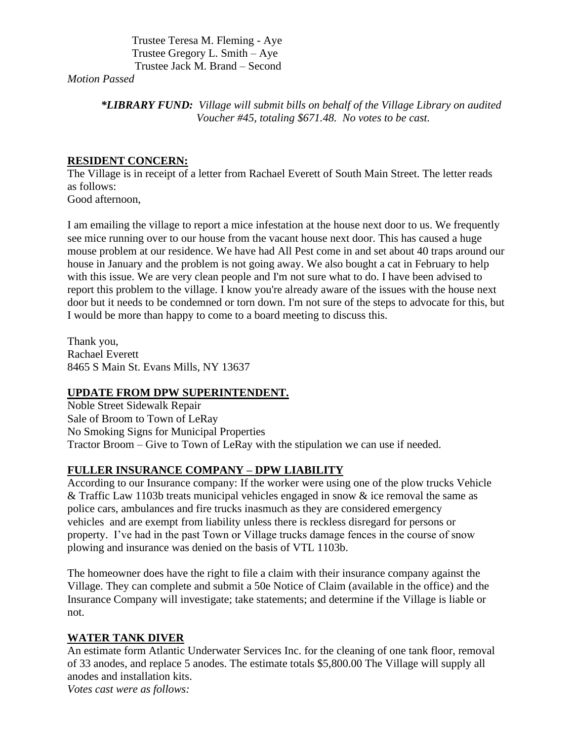Trustee Teresa M. Fleming - Aye Trustee Gregory L. Smith – Aye Trustee Jack M. Brand – Second

*Motion Passed*

*\*LIBRARY FUND: Village will submit bills on behalf of the Village Library on audited Voucher #45, totaling \$671.48. No votes to be cast.*

# **RESIDENT CONCERN:**

The Village is in receipt of a letter from Rachael Everett of South Main Street. The letter reads as follows: Good afternoon,

I am emailing the village to report a mice infestation at the house next door to us. We frequently see mice running over to our house from the vacant house next door. This has caused a huge mouse problem at our residence. We have had All Pest come in and set about 40 traps around our house in January and the problem is not going away. We also bought a cat in February to help with this issue. We are very clean people and I'm not sure what to do. I have been advised to report this problem to the village. I know you're already aware of the issues with the house next door but it needs to be condemned or torn down. I'm not sure of the steps to advocate for this, but I would be more than happy to come to a board meeting to discuss this.

Thank you, Rachael Everett 8465 S Main St. Evans Mills, NY 13637

# **UPDATE FROM DPW SUPERINTENDENT.**

Noble Street Sidewalk Repair Sale of Broom to Town of LeRay No Smoking Signs for Municipal Properties Tractor Broom – Give to Town of LeRay with the stipulation we can use if needed.

# **FULLER INSURANCE COMPANY – DPW LIABILITY**

According to our Insurance company: If the worker were using one of the plow trucks Vehicle & Traffic Law 1103b treats municipal vehicles engaged in snow & ice removal the same as police cars, ambulances and fire trucks inasmuch as they are considered emergency vehicles and are exempt from liability unless there is reckless disregard for persons or property. I've had in the past Town or Village trucks damage fences in the course of snow plowing and insurance was denied on the basis of VTL 1103b.

The homeowner does have the right to file a claim with their insurance company against the Village. They can complete and submit a 50e Notice of Claim (available in the office) and the Insurance Company will investigate; take statements; and determine if the Village is liable or not.

# **WATER TANK DIVER**

An estimate form Atlantic Underwater Services Inc. for the cleaning of one tank floor, removal of 33 anodes, and replace 5 anodes. The estimate totals \$5,800.00 The Village will supply all anodes and installation kits. *Votes cast were as follows:*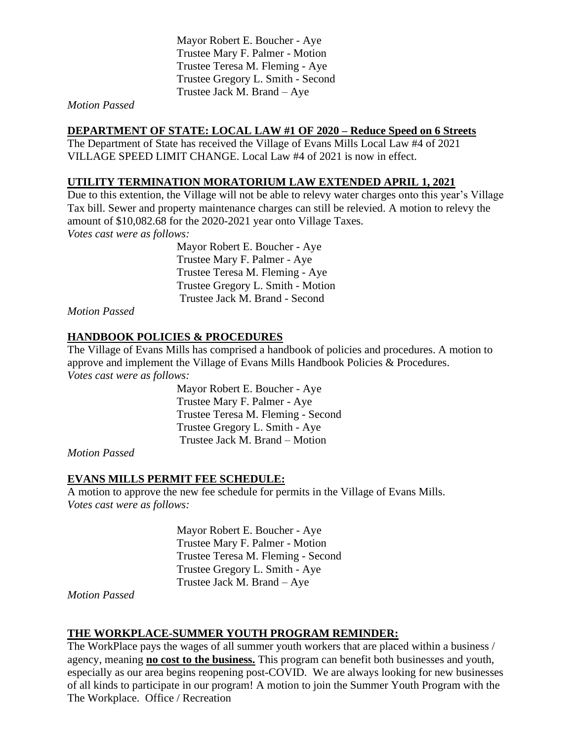Mayor Robert E. Boucher - Aye Trustee Mary F. Palmer - Motion Trustee Teresa M. Fleming - Aye Trustee Gregory L. Smith - Second Trustee Jack M. Brand – Aye

### *Motion Passed*

## **DEPARTMENT OF STATE: LOCAL LAW #1 OF 2020 – Reduce Speed on 6 Streets**

The Department of State has received the Village of Evans Mills Local Law #4 of 2021 VILLAGE SPEED LIMIT CHANGE. Local Law #4 of 2021 is now in effect.

## **UTILITY TERMINATION MORATORIUM LAW EXTENDED APRIL 1, 2021**

Due to this extention, the Village will not be able to relevy water charges onto this year's Village Tax bill. Sewer and property maintenance charges can still be relevied. A motion to relevy the amount of \$10,082.68 for the 2020-2021 year onto Village Taxes. *Votes cast were as follows:*

> Mayor Robert E. Boucher - Aye Trustee Mary F. Palmer - Aye Trustee Teresa M. Fleming - Aye Trustee Gregory L. Smith - Motion Trustee Jack M. Brand - Second

*Motion Passed*

# **HANDBOOK POLICIES & PROCEDURES**

The Village of Evans Mills has comprised a handbook of policies and procedures. A motion to approve and implement the Village of Evans Mills Handbook Policies & Procedures. *Votes cast were as follows:*

> Mayor Robert E. Boucher - Aye Trustee Mary F. Palmer - Aye Trustee Teresa M. Fleming - Second Trustee Gregory L. Smith - Aye Trustee Jack M. Brand – Motion

*Motion Passed*

## **EVANS MILLS PERMIT FEE SCHEDULE:**

A motion to approve the new fee schedule for permits in the Village of Evans Mills. *Votes cast were as follows:*

> Mayor Robert E. Boucher - Aye Trustee Mary F. Palmer - Motion Trustee Teresa M. Fleming - Second Trustee Gregory L. Smith - Aye Trustee Jack M. Brand – Aye

*Motion Passed*

## **THE WORKPLACE-SUMMER YOUTH PROGRAM REMINDER:**

The WorkPlace pays the wages of all summer youth workers that are placed within a business / agency, meaning **no cost to the business.** This program can benefit both businesses and youth, especially as our area begins reopening post-COVID. We are always looking for new businesses of all kinds to participate in our program! A motion to join the Summer Youth Program with the The Workplace. Office / Recreation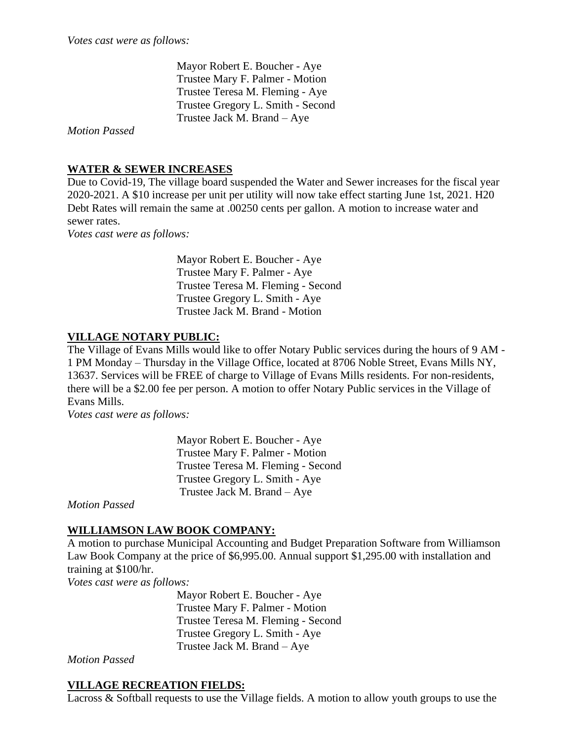Mayor Robert E. Boucher - Aye Trustee Mary F. Palmer - Motion Trustee Teresa M. Fleming - Aye Trustee Gregory L. Smith - Second Trustee Jack M. Brand – Aye

*Motion Passed*

# **WATER & SEWER INCREASES**

Due to Covid-19, The village board suspended the Water and Sewer increases for the fiscal year 2020-2021. A \$10 increase per unit per utility will now take effect starting June 1st, 2021. H20 Debt Rates will remain the same at .00250 cents per gallon. A motion to increase water and sewer rates.

*Votes cast were as follows:*

 Mayor Robert E. Boucher - Aye Trustee Mary F. Palmer - Aye Trustee Teresa M. Fleming - Second Trustee Gregory L. Smith - Aye Trustee Jack M. Brand - Motion

## **VILLAGE NOTARY PUBLIC:**

The Village of Evans Mills would like to offer Notary Public services during the hours of 9 AM - 1 PM Monday – Thursday in the Village Office, located at 8706 Noble Street, Evans Mills NY, 13637. Services will be FREE of charge to Village of Evans Mills residents. For non-residents, there will be a \$2.00 fee per person. A motion to offer Notary Public services in the Village of Evans Mills.

*Votes cast were as follows:*

 Mayor Robert E. Boucher - Aye Trustee Mary F. Palmer - Motion Trustee Teresa M. Fleming - Second Trustee Gregory L. Smith - Aye Trustee Jack M. Brand – Aye

*Motion Passed*

## **WILLIAMSON LAW BOOK COMPANY:**

A motion to purchase Municipal Accounting and Budget Preparation Software from Williamson Law Book Company at the price of \$6,995.00. Annual support \$1,295.00 with installation and training at \$100/hr.

*Votes cast were as follows:*

 Mayor Robert E. Boucher - Aye Trustee Mary F. Palmer - Motion Trustee Teresa M. Fleming - Second Trustee Gregory L. Smith - Aye Trustee Jack M. Brand – Aye

*Motion Passed*

## **VILLAGE RECREATION FIELDS:**

Lacross & Softball requests to use the Village fields. A motion to allow youth groups to use the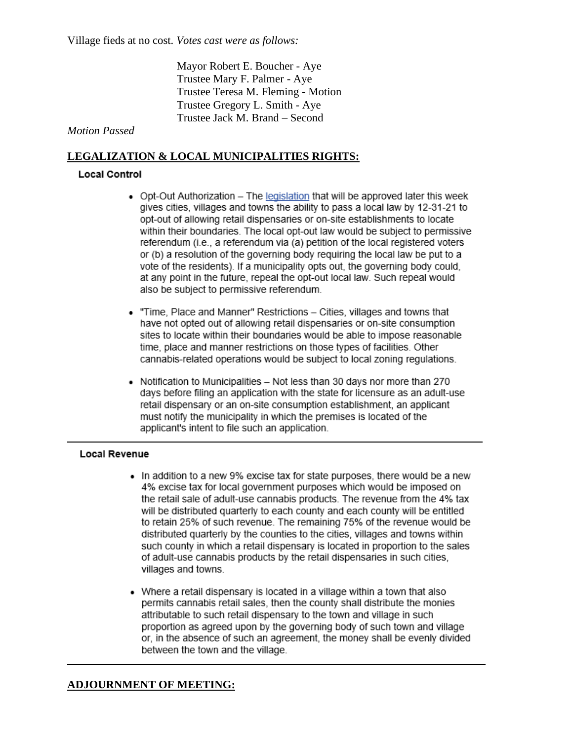Mayor Robert E. Boucher - Aye Trustee Mary F. Palmer - Aye Trustee Teresa M. Fleming - Motion Trustee Gregory L. Smith - Aye Trustee Jack M. Brand – Second

## *Motion Passed*

## **LEGALIZATION & LOCAL MUNICIPALITIES RIGHTS:**

### **Local Control**

- Opt-Out Authorization The legislation that will be approved later this week gives cities, villages and towns the ability to pass a local law by 12-31-21 to opt-out of allowing retail dispensaries or on-site establishments to locate within their boundaries. The local opt-out law would be subject to permissive referendum (i.e., a referendum via (a) petition of the local registered voters or (b) a resolution of the governing body requiring the local law be put to a vote of the residents). If a municipality opts out, the governing body could, at any point in the future, repeal the opt-out local law. Such repeal would also be subject to permissive referendum.
- . "Time, Place and Manner" Restrictions Cities, villages and towns that have not opted out of allowing retail dispensaries or on-site consumption sites to locate within their boundaries would be able to impose reasonable time, place and manner restrictions on those types of facilities. Other cannabis-related operations would be subject to local zoning regulations.
- Notification to Municipalities Not less than 30 days nor more than 270 days before filing an application with the state for licensure as an adult-use retail dispensary or an on-site consumption establishment, an applicant must notify the municipality in which the premises is located of the applicant's intent to file such an application.

#### **Local Revenue**

- In addition to a new 9% excise tax for state purposes, there would be a new 4% excise tax for local government purposes which would be imposed on the retail sale of adult-use cannabis products. The revenue from the 4% tax will be distributed quarterly to each county and each county will be entitled to retain 25% of such revenue. The remaining 75% of the revenue would be distributed quarterly by the counties to the cities, villages and towns within such county in which a retail dispensary is located in proportion to the sales of adult-use cannabis products by the retail dispensaries in such cities, villages and towns.
- Where a retail dispensary is located in a village within a town that also permits cannabis retail sales, then the county shall distribute the monies attributable to such retail dispensary to the town and village in such proportion as agreed upon by the governing body of such town and village or, in the absence of such an agreement, the money shall be evenly divided between the town and the village.